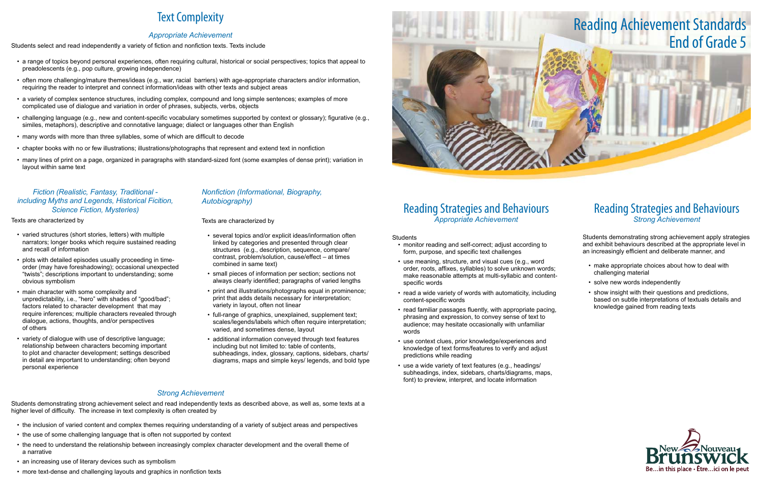## Reading Strategies and Behaviours *Appropriate Achievement*

Students

- monitor reading and self-correct; adjust according to form, purpose, and specific text challenges
- use meaning, structure, and visual cues (e.g., word order, roots, affixes, syllables) to solve unknown words; make reasonable attempts at multi-syllabic and contentspecific words
- read a wide variety of words with automaticity, including content-specific words
- read familiar passages fluently, with appropriate pacing, phrasing and expression, to convey sense of text to audience; may hesitate occasionally with unfamiliar words
- use context clues, prior knowledge/experiences and knowledge of text forms/features to verify and adjust predictions while reading
- use a wide variety of text features (e.g., headings/ subheadings, index, sidebars, charts/diagrams, maps, font) to preview, interpret, and locate information
- make appropriate choices about how to deal with challenging material
- solve new words independently
- show insight with their questions and predictions, based on subtle interpretations of textuals details and knowledge gained from reading texts



## Reading Strategies and Behaviours *Strong Achievement*

Students demonstrating strong achievement apply strategies and exhibit behaviours described at the appropriate level in an increasingly efficient and deliberate manner, and

# Text Complexity

### *Appropriate Achievement*

Students select and read independently a variety of fiction and nonfiction texts. Texts include

- varied structures (short stories, letters) with multiple narrators; longer books which require sustained reading and recall of information
- plots with detailed episodes usually proceeding in timeorder (may have foreshadowing); occasional unexpected "twists"; descriptions important to understanding; some obvious symbolism
- • main character with some complexity and unpredictability, i.e., "hero" with shades of "good/bad"; factors related to character development that may require inferences; multiple characters revealed through dialogue, actions, thoughts, and/or perspectives of others
- variety of dialogue with use of descriptive language; relationship between characters becoming important to plot and character development; settings described in detail are important to understanding; often beyond personal experience
- • a range of topics beyond personal experiences, often requiring cultural, historical or social perspectives; topics that appeal to preadolescents (e.g., pop culture, growing independence)
- • often more challenging/mature themes/ideas (e.g., war, racial barriers) with age-appropriate characters and/or information, requiring the reader to interpret and connect information/ideas with other texts and subject areas
- • a variety of complex sentence structures, including complex, compound and long simple sentences; examples of more complicated use of dialogue and variation in order of phrases, subjects, verbs, objects
- challenging language (e.g., new and content-specific vocabulary sometimes supported by context or glossary); figurative (e.g., similes, metaphors), descriptive and connotative language; dialect or languages other than English
- many words with more than three syllables, some of which are difficult to decode
- • chapter books with no or few illustrations; illustrations/photographs that represent and extend text in nonfiction
- • many lines of print on a page, organized in paragraphs with standard-sized font (some examples of dense print); variation in layout within same text

### *Fiction (Realistic, Fantasy, Traditional including Myths and Legends, Historical Ficition, Science Fiction, Mysteries)*

Texts are characterized by

### *Nonfiction (Informational, Biography, Autobiography)*

Texts are characterized by

- • several topics and/or explicit ideas/information often linked by categories and presented through clear structures (e.g., description, sequence, compare/ contrast, problem/solution, cause/effect – at times combined in same text)
- small pieces of information per section; sections not always clearly identified; paragraphs of varied lengths
- print and illustrations/photographs equal in prominence; print that adds details necessary for interpretation; variety in layout, often not linear
- full-range of graphics, unexplained, supplement text; scales/legends/labels which often require interpretation; varied, and sometimes dense, layout
- additional information conveyed through text features including but not limited to: table of contents, subheadings, index, glossary, captions, sidebars, charts/ diagrams, maps and simple keys/ legends, and bold type

## *Strong Achievement*

Students demonstrating strong achievement select and read independently texts as described above, as well as, some texts at a higher level of difficulty. The increase in text complexity is often created by

- the inclusion of varied content and complex themes requiring understanding of a variety of subject areas and perspectives
- the use of some challenging language that is often not supported by context
- • the need to understand the relationship between increasingly complex character development and the overall theme of a narrative
- an increasing use of literary devices such as symbolism
- more text-dense and challenging layouts and graphics in nonfiction texts